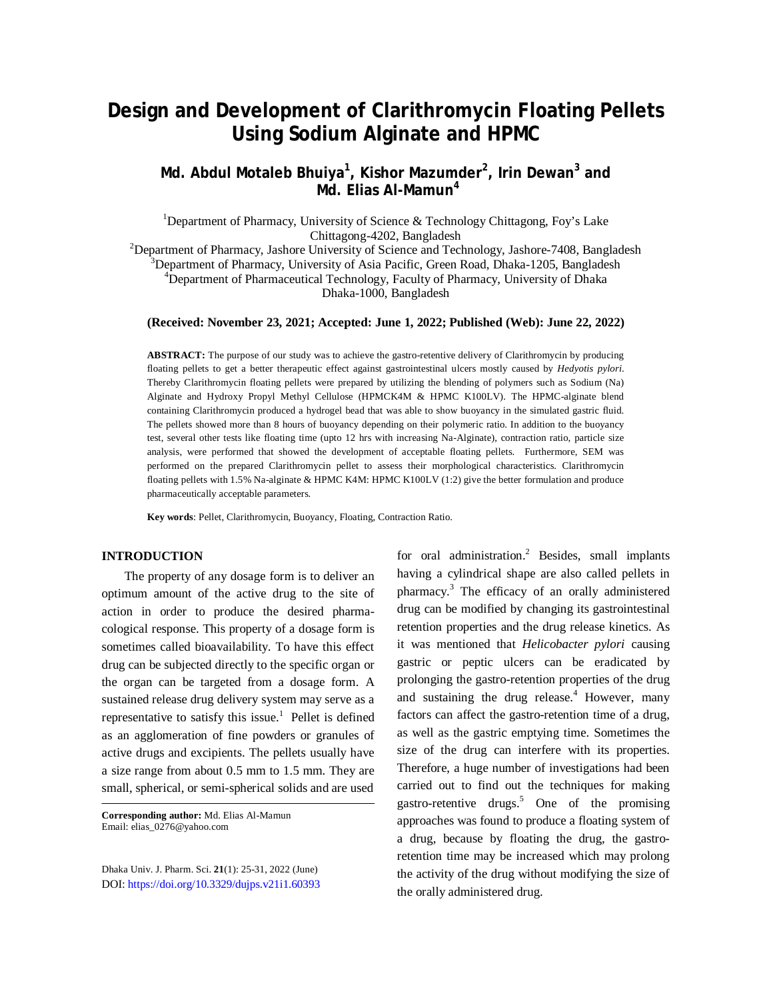# **Design and Development of Clarithromycin Floating Pellets Using Sodium Alginate and HPMC**

# **Md. Abdul Motaleb Bhuiya<sup>1</sup> , Kishor Mazumder<sup>2</sup> , Irin Dewan<sup>3</sup> and Md. Elias Al-Mamun<sup>4</sup>**

<sup>1</sup>Department of Pharmacy, University of Science & Technology Chittagong, Foy's Lake Chittagong-4202, Bangladesh

<sup>2</sup>Department of Pharmacy, Jashore University of Science and Technology, Jashore-7408, Bangladesh <sup>3</sup>Department of Pharmacy, University of Asia Pacific, Green Road, Dhaka-1205, Bangladesh <sup>4</sup>Department of Pharmaceutical Technology, Faculty of Pharmacy, University of Dhaka

# Dhaka-1000, Bangladesh

### **(Received: November 23, 2021; Accepted: June 1, 2022; Published (Web): June 22, 2022)**

**ABSTRACT:** The purpose of our study was to achieve the gastro-retentive delivery of Clarithromycin by producing floating pellets to get a better therapeutic effect against gastrointestinal ulcers mostly caused by *Hedyotis pylori*. Thereby Clarithromycin floating pellets were prepared by utilizing the blending of polymers such as Sodium (Na) Alginate and Hydroxy Propyl Methyl Cellulose (HPMCK4M & HPMC K100LV). The HPMC-alginate blend containing Clarithromycin produced a hydrogel bead that was able to show buoyancy in the simulated gastric fluid. The pellets showed more than 8 hours of buoyancy depending on their polymeric ratio. In addition to the buoyancy test, several other tests like floating time (upto 12 hrs with increasing Na-Alginate), contraction ratio, particle size analysis, were performed that showed the development of acceptable floating pellets. Furthermore, SEM was performed on the prepared Clarithromycin pellet to assess their morphological characteristics. Clarithromycin floating pellets with 1.5% Na-alginate & HPMC K4M: HPMC K100LV (1:2) give the better formulation and produce pharmaceutically acceptable parameters.

**Key words**: Pellet, Clarithromycin, Buoyancy, Floating, Contraction Ratio.

## **INTRODUCTION**

The property of any dosage form is to deliver an optimum amount of the active drug to the site of action in order to produce the desired pharmacological response. This property of a dosage form is sometimes called bioavailability. To have this effect drug can be subjected directly to the specific organ or the organ can be targeted from a dosage form. A sustained release drug delivery system may serve as a representative to satisfy this issue.<sup>1</sup> Pellet is defined as an agglomeration of fine powders or granules of active drugs and excipients. The pellets usually have a size range from about 0.5 mm to 1.5 mm. They are small, spherical, or semi-spherical solids and are used

**Corresponding author:** Md. Elias Al-Mamun Email: [elias\\_0276@yahoo.com](mailto:elias_0276@yahoo.com)

Dhaka Univ. J. Pharm. Sci. **21**(1): 25-31, 2022 (June) DOI:<https://doi.org/10.3329/dujps.v21i1.60393>

for oral administration. <sup>2</sup> Besides, small implants having a cylindrical shape are also called pellets in pharmacy. <sup>3</sup> The efficacy of an orally administered drug can be modified by changing its gastrointestinal retention properties and the drug release kinetics. As it was mentioned that *Helicobacter pylori* causing gastric or peptic ulcers can be eradicated by prolonging the gastro-retention properties of the drug and sustaining the drug release. $4$  However, many factors can affect the gastro-retention time of a drug, as well as the gastric emptying time. Sometimes the size of the drug can interfere with its properties. Therefore, a huge number of investigations had been carried out to find out the techniques for making gastro-retentive drugs. <sup>5</sup> One of the promising approaches was found to produce a floating system of a drug, because by floating the drug, the gastroretention time may be increased which may prolong the activity of the drug without modifying the size of the orally administered drug.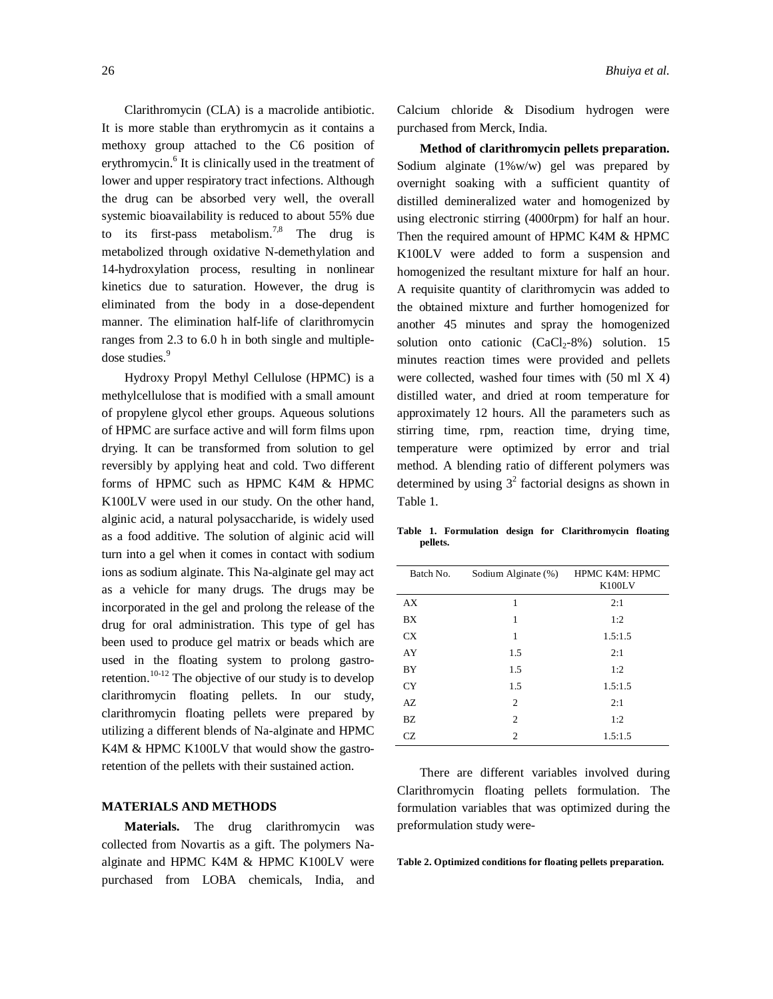Clarithromycin (CLA) is a macrolide antibiotic. It is more stable than erythromycin as it contains a methoxy group attached to the C6 position of erythromycin.<sup>6</sup> It is clinically used in the treatment of lower and upper respiratory tract infections. Although the drug can be absorbed very well, the overall systemic bioavailability is reduced to about 55% due to its first-pass metabolism.<sup>7,8</sup> The drug is metabolized through oxidative N-demethylation and 14-hydroxylation process, resulting in nonlinear kinetics due to saturation. However, the drug is eliminated from the body in a dose-dependent manner. The elimination half-life of clarithromycin ranges from 2.3 to 6.0 h in both single and multipledose studies.<sup>9</sup>

Hydroxy Propyl Methyl Cellulose (HPMC) is a methylcellulose that is modified with a small amount of propylene glycol ether groups. Aqueous solutions of HPMC are surface active and will form films upon drying. It can be transformed from solution to gel reversibly by applying heat and cold. Two different forms of HPMC such as HPMC K4M & HPMC K100LV were used in our study. On the other hand, alginic acid, a natural polysaccharide, is widely used as a food additive. The solution of alginic acid will turn into a gel when it comes in contact with sodium ions as sodium alginate. This Na-alginate gel may act as a vehicle for many drugs. The drugs may be incorporated in the gel and prolong the release of the drug for oral administration. This type of gel has been used to produce gel matrix or beads which are used in the floating system to prolong gastroretention.<sup>10-12</sup> The objective of our study is to develop clarithromycin floating pellets. In our study, clarithromycin floating pellets were prepared by utilizing a different blends of Na-alginate and HPMC K4M & HPMC K100LV that would show the gastroretention of the pellets with their sustained action.

### **MATERIALS AND METHODS**

**Materials.** The drug clarithromycin was collected from Novartis as a gift. The polymers Naalginate and HPMC K4M & HPMC K100LV were purchased from LOBA chemicals, India, and Calcium chloride & Disodium hydrogen were purchased from Merck, India.

**Method of clarithromycin pellets preparation.**  Sodium alginate (1%w/w) gel was prepared by overnight soaking with a sufficient quantity of distilled demineralized water and homogenized by using electronic stirring (4000rpm) for half an hour. Then the required amount of HPMC K4M & HPMC K100LV were added to form a suspension and homogenized the resultant mixture for half an hour. A requisite quantity of clarithromycin was added to the obtained mixture and further homogenized for another 45 minutes and spray the homogenized solution onto cationic  $(CaCl<sub>2</sub>-8%)$  solution. 15 minutes reaction times were provided and pellets were collected, washed four times with (50 ml X 4) distilled water, and dried at room temperature for approximately 12 hours. All the parameters such as stirring time, rpm, reaction time, drying time, temperature were optimized by error and trial method. A blending ratio of different polymers was determined by using  $3^2$  factorial designs as shown in Table 1.

**Table 1. Formulation design for Clarithromycin floating pellets.**

| Batch No. | Sodium Alginate (%) | HPMC K4M: HPMC<br>K100LV |
|-----------|---------------------|--------------------------|
| AX        | 1                   | 2:1                      |
| <b>BX</b> | 1                   | 1:2                      |
| CX        | 1                   | 1.5:1.5                  |
| AY        | 1.5                 | 2:1                      |
| BY        | 1.5                 | 1:2                      |
| <b>CY</b> | 1.5                 | 1.5:1.5                  |
| AZ        | 2                   | 2:1                      |
| BZ        | 2                   | 1:2                      |
| CZ.       | $\overline{c}$      | 1.5:1.5                  |

There are different variables involved during Clarithromycin floating pellets formulation. The formulation variables that was optimized during the preformulation study were-

**Table 2. Optimized conditions for floating pellets preparation.**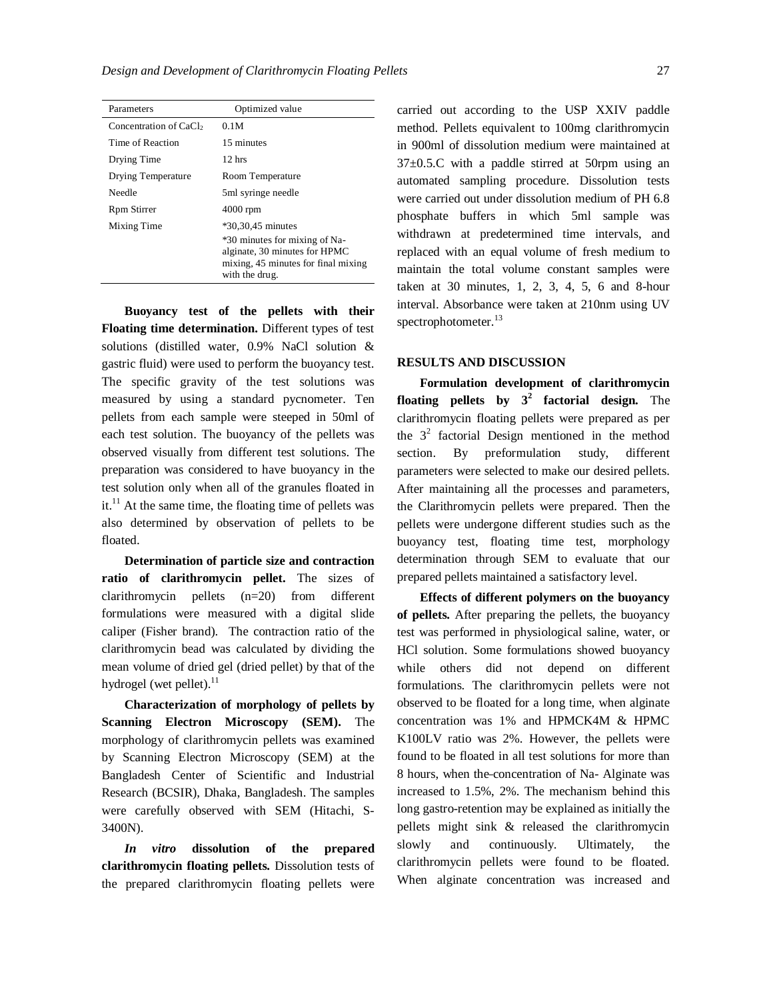| Parameters                         | Optimized value                                                                                                         |
|------------------------------------|-------------------------------------------------------------------------------------------------------------------------|
| Concentration of CaCl <sub>2</sub> | 0.1M                                                                                                                    |
| Time of Reaction                   | 15 minutes                                                                                                              |
| Drying Time                        | $12$ hrs                                                                                                                |
| Drying Temperature                 | Room Temperature                                                                                                        |
| Needle                             | 5ml syringe needle                                                                                                      |
| Rpm Stirrer                        | $4000$ rpm                                                                                                              |
| Mixing Time                        | $*30,30,45$ minutes                                                                                                     |
|                                    | *30 minutes for mixing of Na-<br>alginate, 30 minutes for HPMC<br>mixing, 45 minutes for final mixing<br>with the drug. |

**Buoyancy test of the pellets with their Floating time determination.** Different types of test solutions (distilled water, 0.9% NaCl solution & gastric fluid) were used to perform the buoyancy test. The specific gravity of the test solutions was measured by using a standard pycnometer. Ten pellets from each sample were steeped in 50ml of each test solution. The buoyancy of the pellets was observed visually from different test solutions. The preparation was considered to have buoyancy in the test solution only when all of the granules floated in it. $^{11}$  At the same time, the floating time of pellets was also determined by observation of pellets to be floated.

**Determination of particle size and contraction ratio of clarithromycin pellet.** The sizes of clarithromycin pellets (n=20) from different formulations were measured with a digital slide caliper (Fisher brand). The contraction ratio of the clarithromycin bead was calculated by dividing the mean volume of dried gel (dried pellet) by that of the hydrogel (wet pellet).<sup>11</sup>

**Characterization of morphology of pellets by Scanning Electron Microscopy (SEM).** The morphology of clarithromycin pellets was examined by Scanning Electron Microscopy (SEM) at the Bangladesh Center of Scientific and Industrial Research (BCSIR), Dhaka, Bangladesh. The samples were carefully observed with SEM (Hitachi, S-3400N).

*In vitro* **dissolution of the prepared clarithromycin floating pellets.** Dissolution tests of the prepared clarithromycin floating pellets were carried out according to the USP XXIV paddle method. Pellets equivalent to 100mg clarithromycin in 900ml of dissolution medium were maintained at 37±0.5.C with a paddle stirred at 50rpm using an automated sampling procedure. Dissolution tests were carried out under dissolution medium of PH 6.8 phosphate buffers in which 5ml sample was withdrawn at predetermined time intervals, and replaced with an equal volume of fresh medium to maintain the total volume constant samples were taken at 30 minutes, 1, 2, 3, 4, 5, 6 and 8-hour interval. Absorbance were taken at 210nm using UV spectrophotometer.<sup>13</sup>

#### **RESULTS AND DISCUSSION**

**Formulation development of clarithromycin floating pellets by 3<sup>2</sup> factorial design.** The clarithromycin floating pellets were prepared as per the  $3<sup>2</sup>$  factorial Design mentioned in the method section. By preformulation study, different parameters were selected to make our desired pellets. After maintaining all the processes and parameters, the Clarithromycin pellets were prepared. Then the pellets were undergone different studies such as the buoyancy test, floating time test, morphology determination through SEM to evaluate that our prepared pellets maintained a satisfactory level.

**Effects of different polymers on the buoyancy of pellets.** After preparing the pellets, the buoyancy test was performed in physiological saline, water, or HCl solution. Some formulations showed buoyancy while others did not depend on different formulations. The clarithromycin pellets were not observed to be floated for a long time, when alginate concentration was 1% and HPMCK4M & HPMC K100LV ratio was 2%. However, the pellets were found to be floated in all test solutions for more than 8 hours, when the concentration of Na- Alginate was increased to 1.5%, 2%. The mechanism behind this long gastro-retention may be explained as initially the pellets might sink & released the clarithromycin slowly and continuously. Ultimately, the clarithromycin pellets were found to be floated. When alginate concentration was increased and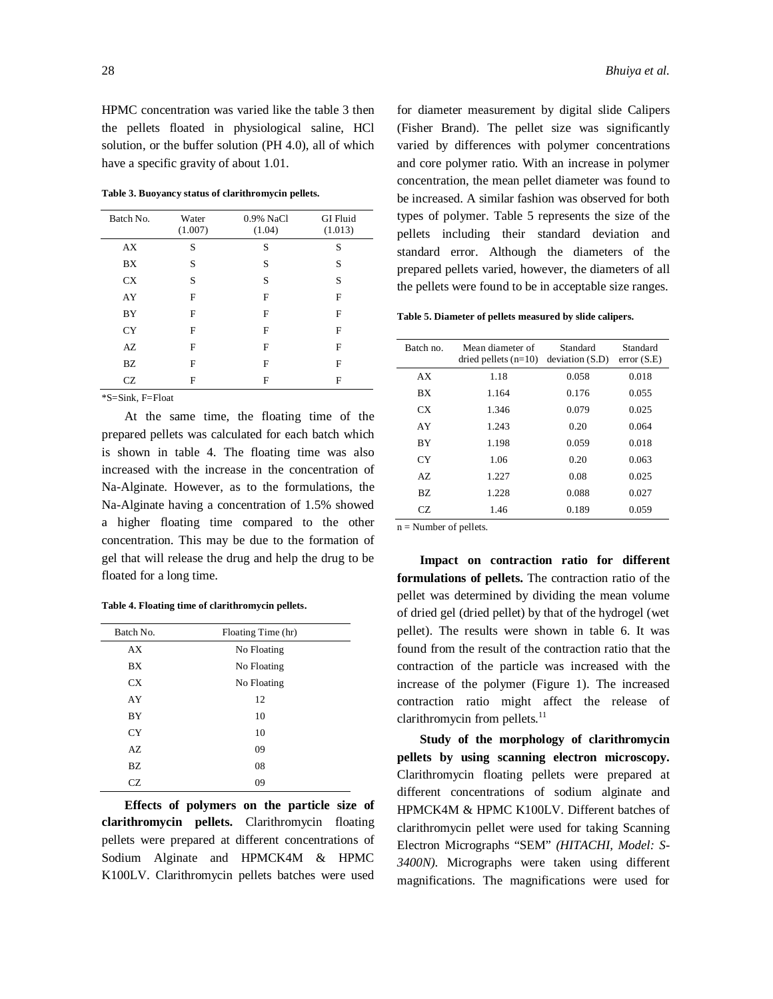HPMC concentration was varied like the table 3 then the pellets floated in physiological saline, HCl solution, or the buffer solution (PH 4.0), all of which have a specific gravity of about 1.01.

**Table 3. Buoyancy status of clarithromycin pellets.**

| Batch No. | Water<br>(1.007) | 0.9% NaCl<br>(1.04) | <b>GI</b> Fluid<br>(1.013) |
|-----------|------------------|---------------------|----------------------------|
| AX        | S                | S                   | S                          |
| BX        | S                | S                   | S                          |
| <b>CX</b> | S                | S                   | S                          |
| AY        | F                | F                   | F                          |
| BY        | F                | F                   | F                          |
| CY        | F                | F                   | F                          |
| AZ        | F                | F                   | F                          |
| BZ        | F                | F                   | F                          |
| CZ        | F                | F                   | F                          |

\*S=Sink, F=Float

At the same time, the floating time of the prepared pellets was calculated for each batch which is shown in table 4. The floating time was also increased with the increase in the concentration of Na-Alginate. However, as to the formulations, the Na-Alginate having a concentration of 1.5% showed a higher floating time compared to the other concentration. This may be due to the formation of gel that will release the drug and help the drug to be floated for a long time.

**Table 4. Floating time of clarithromycin pellets.**

| Batch No. | Floating Time (hr) |
|-----------|--------------------|
| AX        | No Floating        |
| BX        | No Floating        |
| <b>CX</b> | No Floating        |
| AY        | 12                 |
| BY        | 10                 |
| <b>CY</b> | 10                 |
| AZ        | 09                 |
| BZ        | 08                 |
| CZ.       | 09                 |

**Effects of polymers on the particle size of clarithromycin pellets.** Clarithromycin floating pellets were prepared at different concentrations of Sodium Alginate and HPMCK4M & HPMC K100LV. Clarithromycin pellets batches were used for diameter measurement by digital slide Calipers (Fisher Brand). The pellet size was significantly varied by differences with polymer concentrations and core polymer ratio. With an increase in polymer concentration, the mean pellet diameter was found to be increased. A similar fashion was observed for both types of polymer. Table 5 represents the size of the pellets including their standard deviation and standard error. Although the diameters of the prepared pellets varied, however, the diameters of all the pellets were found to be in acceptable size ranges.

**Table 5. Diameter of pellets measured by slide calipers.**

| Batch no. | Mean diameter of<br>dried pellets $(n=10)$ | Standard<br>deviation(S.D) | Standard<br>error(S.E) |
|-----------|--------------------------------------------|----------------------------|------------------------|
| AX        | 1.18                                       | 0.058                      | 0.018                  |
| BX        | 1.164                                      | 0.176                      | 0.055                  |
| CX.       | 1.346                                      | 0.079                      | 0.025                  |
| AY        | 1.243                                      | 0.20                       | 0.064                  |
| <b>BY</b> | 1.198                                      | 0.059                      | 0.018                  |
| <b>CY</b> | 1.06                                       | 0.20                       | 0.063                  |
| AZ.       | 1.227                                      | 0.08                       | 0.025                  |
| BZ.       | 1.228                                      | 0.088                      | 0.027                  |
| CZ.       | 1.46                                       | 0.189                      | 0.059                  |

n = Number of pellets.

**Impact on contraction ratio for different formulations of pellets.** The contraction ratio of the pellet was determined by dividing the mean volume of dried gel (dried pellet) by that of the hydrogel (wet pellet). The results were shown in table 6. It was found from the result of the contraction ratio that the contraction of the particle was increased with the increase of the polymer (Figure 1). The increased contraction ratio might affect the release of clarithromycin from pellets.<sup>11</sup>

**Study of the morphology of clarithromycin pellets by using scanning electron microscopy.**  Clarithromycin floating pellets were prepared at different concentrations of sodium alginate and HPMCK4M & HPMC K100LV. Different batches of clarithromycin pellet were used for taking Scanning Electron Micrographs "SEM" *(HITACHI, Model: S-3400N)*. Micrographs were taken using different magnifications. The magnifications were used for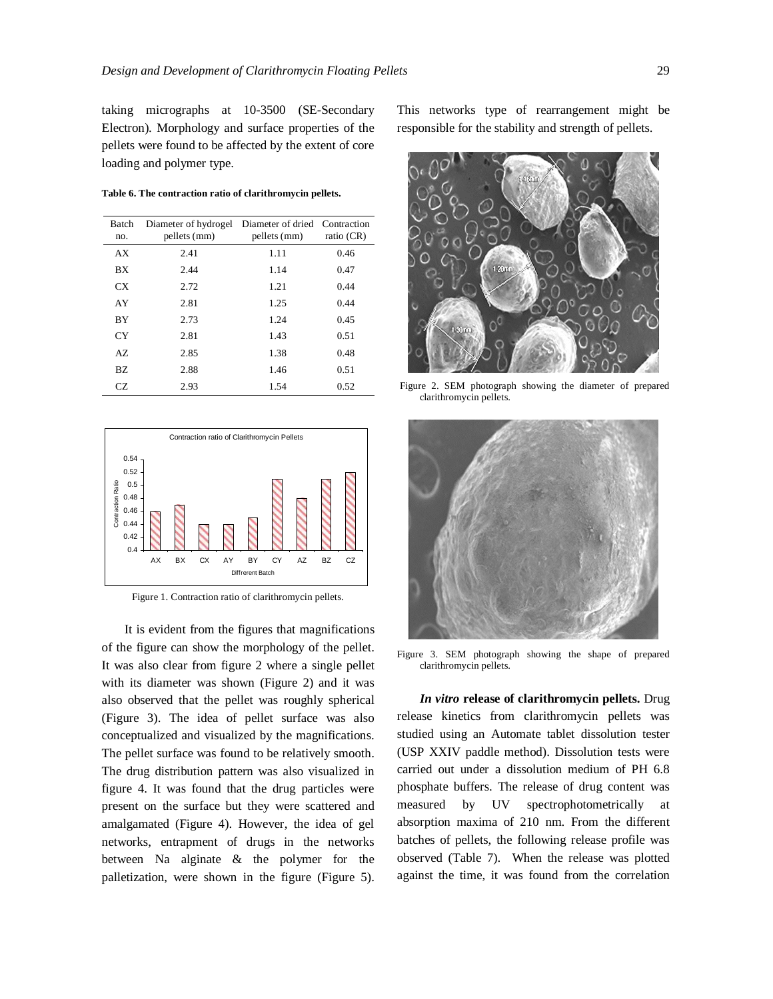taking micrographs at 10-3500 (SE-Secondary Electron). Morphology and surface properties of the pellets were found to be affected by the extent of core loading and polymer type.

**Table 6. The contraction ratio of clarithromycin pellets.**

| Batch<br>no. | Diameter of hydrogel<br>pellets (mm) | Diameter of dried Contraction<br>pellets (mm) | ratio (CR) |
|--------------|--------------------------------------|-----------------------------------------------|------------|
| AX           | 2.41                                 | 1.11                                          | 0.46       |
| <b>BX</b>    | 2.44                                 | 1.14                                          | 0.47       |
| CX           | 2.72                                 | 1.21                                          | 0.44       |
| AY           | 2.81                                 | 1.25                                          | 0.44       |
| <b>BY</b>    | 2.73                                 | 1.24                                          | 0.45       |
| CY           | 2.81                                 | 1.43                                          | 0.51       |
| AZ           | 2.85                                 | 1.38                                          | 0.48       |
| BZ.          | 2.88                                 | 1.46                                          | 0.51       |
| CZ.          | 2.93                                 | 1.54                                          | 0.52       |



Figure 1. Contraction ratio of clarithromycin pellets.

It is evident from the figures that magnifications of the figure can show the morphology of the pellet. It was also clear from figure 2 where a single pellet with its diameter was shown (Figure 2) and it was also observed that the pellet was roughly spherical (Figure 3). The idea of pellet surface was also conceptualized and visualized by the magnifications. The pellet surface was found to be relatively smooth. The drug distribution pattern was also visualized in figure 4. It was found that the drug particles were present on the surface but they were scattered and amalgamated (Figure 4). However, the idea of gel networks, entrapment of drugs in the networks between Na alginate & the polymer for the palletization, were shown in the figure (Figure 5).

This networks type of rearrangement might be responsible for the stability and strength of pellets.



Figure 2. SEM photograph showing the diameter of prepared clarithromycin pellets.



Figure 3. SEM photograph showing the shape of prepared clarithromycin pellets.

*In vitro* **release of clarithromycin pellets.** Drug release kinetics from clarithromycin pellets was studied using an Automate tablet dissolution tester (USP XXIV paddle method). Dissolution tests were carried out under a dissolution medium of PH 6.8 phosphate buffers. The release of drug content was measured by UV spectrophotometrically at absorption maxima of 210 nm. From the different batches of pellets, the following release profile was observed (Table 7). When the release was plotted against the time, it was found from the correlation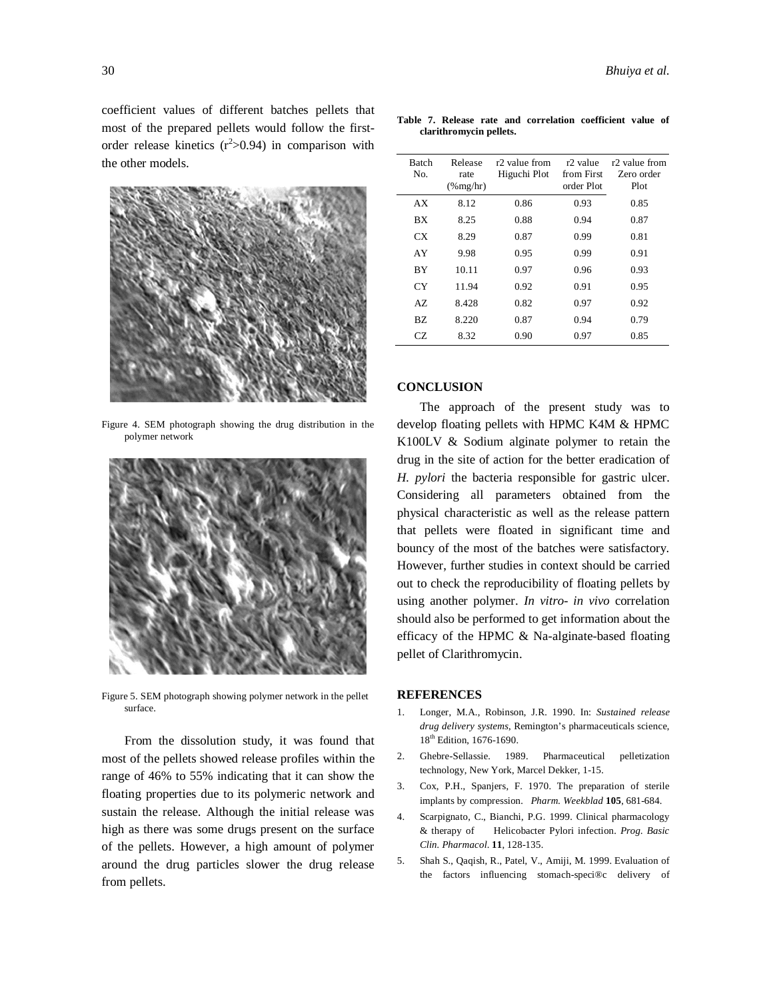coefficient values of different batches pellets that most of the prepared pellets would follow the firstorder release kinetics  $(r^2>0.94)$  in comparison with the other models.



Figure 4. SEM photograph showing the drug distribution in the polymer network



Figure 5. SEM photograph showing polymer network in the pellet surface.

From the dissolution study, it was found that most of the pellets showed release profiles within the range of 46% to 55% indicating that it can show the floating properties due to its polymeric network and sustain the release. Although the initial release was high as there was some drugs present on the surface of the pellets. However, a high amount of polymer around the drug particles slower the drug release from pellets.

**Table 7. Release rate and correlation coefficient value of clarithromycin pellets.**

| Batch<br>No. | Release<br>rate<br>$(\%$ mg/hr) | r2 value from<br>Higuchi Plot | r <sub>2</sub> value<br>from First<br>order Plot | r <sub>2</sub> value from<br>Zero order<br>Plot |
|--------------|---------------------------------|-------------------------------|--------------------------------------------------|-------------------------------------------------|
| AX           | 8.12                            | 0.86                          | 0.93                                             | 0.85                                            |
| ВX           | 8.25                            | 0.88                          | 0.94                                             | 0.87                                            |
| CХ           | 8.29                            | 0.87                          | 0.99                                             | 0.81                                            |
| AY           | 9.98                            | 0.95                          | 0.99                                             | 0.91                                            |
| ВY           | 10.11                           | 0.97                          | 0.96                                             | 0.93                                            |
| СY           | 11.94                           | 0.92                          | 0.91                                             | 0.95                                            |
| AZ.          | 8.428                           | 0.82                          | 0.97                                             | 0.92                                            |
| BZ.          | 8.220                           | 0.87                          | 0.94                                             | 0.79                                            |
| CZ.          | 8.32                            | 0.90                          | 0.97                                             | 0.85                                            |

#### **CONCLUSION**

The approach of the present study was to develop floating pellets with HPMC K4M & HPMC K100LV & Sodium alginate polymer to retain the drug in the site of action for the better eradication of *H. pylori* the bacteria responsible for gastric ulcer. Considering all parameters obtained from the physical characteristic as well as the release pattern that pellets were floated in significant time and bouncy of the most of the batches were satisfactory. However, further studies in context should be carried out to check the reproducibility of floating pellets by using another polymer. *In vitro- in vivo* correlation should also be performed to get information about the efficacy of the HPMC & Na-alginate-based floating pellet of Clarithromycin.

#### **REFERENCES**

- 1. Longer, M.A., Robinson, J.R. 1990. In: *Sustained release drug delivery systems*, Remington's pharmaceuticals science, 18th Edition, 1676-1690.
- 2. Ghebre-Sellassie. 1989. Pharmaceutical pelletization technology, New York, Marcel Dekker, 1-15.
- 3. Cox, P.H., Spanjers, F. 1970. The preparation of sterile implants by compression. *Pharm. Weekblad* **105**, 681-684.
- 4. Scarpignato, C., Bianchi, P.G. 1999. Clinical pharmacology & therapy of Helicobacter Pylori infection. *Prog. Basic Clin. Pharmacol*. **11**, 128-135.
- 5. Shah S., Qaqish, R., Patel, V., Amiji, M. 1999. Evaluation of the factors influencing stomach-speci®c delivery of